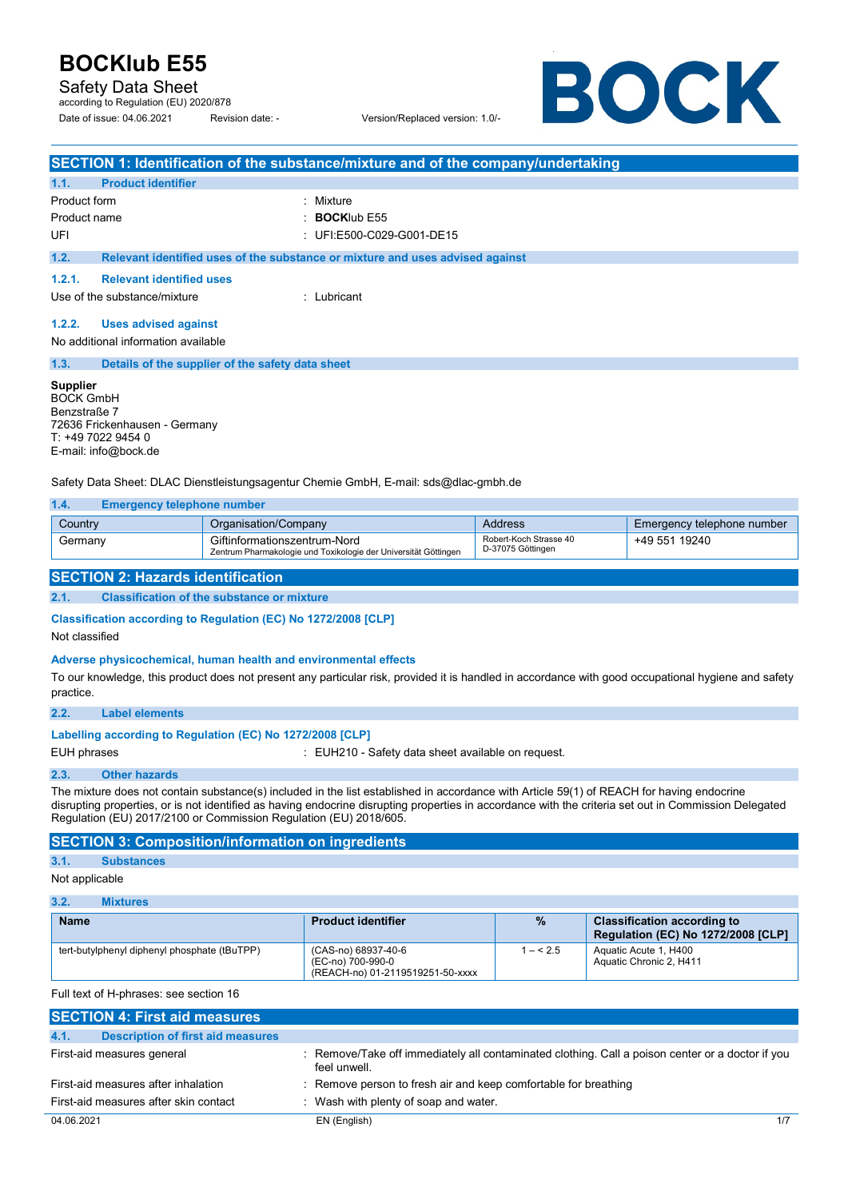Safety Data Sheet

according to Regulation (EU) 2020/878 Date of issue: 04.06.2021 Revision date: - Version/Replaced version: 1.0/-

BOCK

| SECTION 1: Identification of the substance/mixture and of the company/undertaking                                                                                                                                          |                                                                                                 |                                             |                            |  |
|----------------------------------------------------------------------------------------------------------------------------------------------------------------------------------------------------------------------------|-------------------------------------------------------------------------------------------------|---------------------------------------------|----------------------------|--|
| <b>Product identifier</b><br>1.1.                                                                                                                                                                                          |                                                                                                 |                                             |                            |  |
| Product form                                                                                                                                                                                                               | : Mixture                                                                                       |                                             |                            |  |
| Product name                                                                                                                                                                                                               | <b>BOCKIub E55</b>                                                                              |                                             |                            |  |
| UFI                                                                                                                                                                                                                        | : UFI:E500-C029-G001-DE15                                                                       |                                             |                            |  |
| 1.2.                                                                                                                                                                                                                       | Relevant identified uses of the substance or mixture and uses advised against                   |                                             |                            |  |
| 1.2.1.<br><b>Relevant identified uses</b>                                                                                                                                                                                  |                                                                                                 |                                             |                            |  |
| Use of the substance/mixture                                                                                                                                                                                               | : Lubricant                                                                                     |                                             |                            |  |
| 1.2.2.<br><b>Uses advised against</b>                                                                                                                                                                                      |                                                                                                 |                                             |                            |  |
| No additional information available                                                                                                                                                                                        |                                                                                                 |                                             |                            |  |
| 1.3.                                                                                                                                                                                                                       | Details of the supplier of the safety data sheet                                                |                                             |                            |  |
| <b>Supplier</b><br><b>BOCK GmbH</b><br>Benzstraße 7<br>72636 Frickenhausen - Germany<br>T: +49 7022 9454 0<br>E-mail: info@bock.de<br>Safety Data Sheet: DLAC Dienstleistungsagentur Chemie GmbH, E-mail: sds@dlac-gmbh.de |                                                                                                 |                                             |                            |  |
| 1.4.<br><b>Emergency telephone number</b>                                                                                                                                                                                  |                                                                                                 |                                             |                            |  |
| Country                                                                                                                                                                                                                    | Organisation/Company                                                                            | <b>Address</b>                              | Emergency telephone number |  |
| Germany                                                                                                                                                                                                                    | Giftinformationszentrum-Nord<br>Zentrum Pharmakologie und Toxikologie der Universität Göttingen | Robert-Koch Strasse 40<br>D-37075 Göttingen | +49 551 19240              |  |
| <b>SECTION 2: Hazards identification</b>                                                                                                                                                                                   |                                                                                                 |                                             |                            |  |
| 2.1.                                                                                                                                                                                                                       | <b>Classification of the substance or mixture</b>                                               |                                             |                            |  |
| Classification according to Regulation (EC) No 1272/2008 [CLP]<br>Not classified                                                                                                                                           |                                                                                                 |                                             |                            |  |
| وغوامة والمستقصر والمستحدث والمستوي والحامي والمستحدث والمستحدث والمستحدث والمستحدث والمستحدث                                                                                                                              |                                                                                                 |                                             |                            |  |

### **Adverse physicochemical, human health and environmental effects**

To our knowledge, this product does not present any particular risk, provided it is handled in accordance with good occupational hygiene and safety practice.

### **Labelling according to Regulation (EC) No 1272/2008 [CLP]**

EUH phrases **EUH210** - Safety data sheet available on request.

#### **2.3. Other hazards**

The mixture does not contain substance(s) included in the list established in accordance with Article 59(1) of REACH for having endocrine disrupting properties, or is not identified as having endocrine disrupting properties in accordance with the criteria set out in Commission Delegated Regulation (EU) 2017/2100 or Commission Regulation (EU) 2018/605.

### **SECTION 3: Composition/information on ingredients**

### **3.1. Substances**

Not applicable

| 3.2.<br>Mixtures                             |                                                                              |           |                                                                                 |
|----------------------------------------------|------------------------------------------------------------------------------|-----------|---------------------------------------------------------------------------------|
| <b>Name</b>                                  | <b>Product identifier</b>                                                    | $\%$      | <b>Classification according to</b><br><b>Regulation (EC) No 1272/2008 [CLP]</b> |
| tert-butylphenyl diphenyl phosphate (tBuTPP) | (CAS-no) 68937-40-6<br>(EC-no) 700-990-0<br>(REACH-no) 01-2119519251-50-xxxx | $1 - 5.5$ | Aquatic Acute 1, H400<br>Aquatic Chronic 2, H411                                |

Full text of H-phrases: see section 16

| <b>SECTION 4: First aid measures</b>             |                                                                                                                |
|--------------------------------------------------|----------------------------------------------------------------------------------------------------------------|
| 4.1.<br><b>Description of first aid measures</b> |                                                                                                                |
| First-aid measures general                       | Remove/Take off immediately all contaminated clothing. Call a poison center or a doctor if you<br>feel unwell. |
| First-aid measures after inhalation              | : Remove person to fresh air and keep comfortable for breathing                                                |
| First-aid measures after skin contact            | Wash with plenty of soap and water.                                                                            |
| 04.06.2021                                       | EN (English)<br>1/7                                                                                            |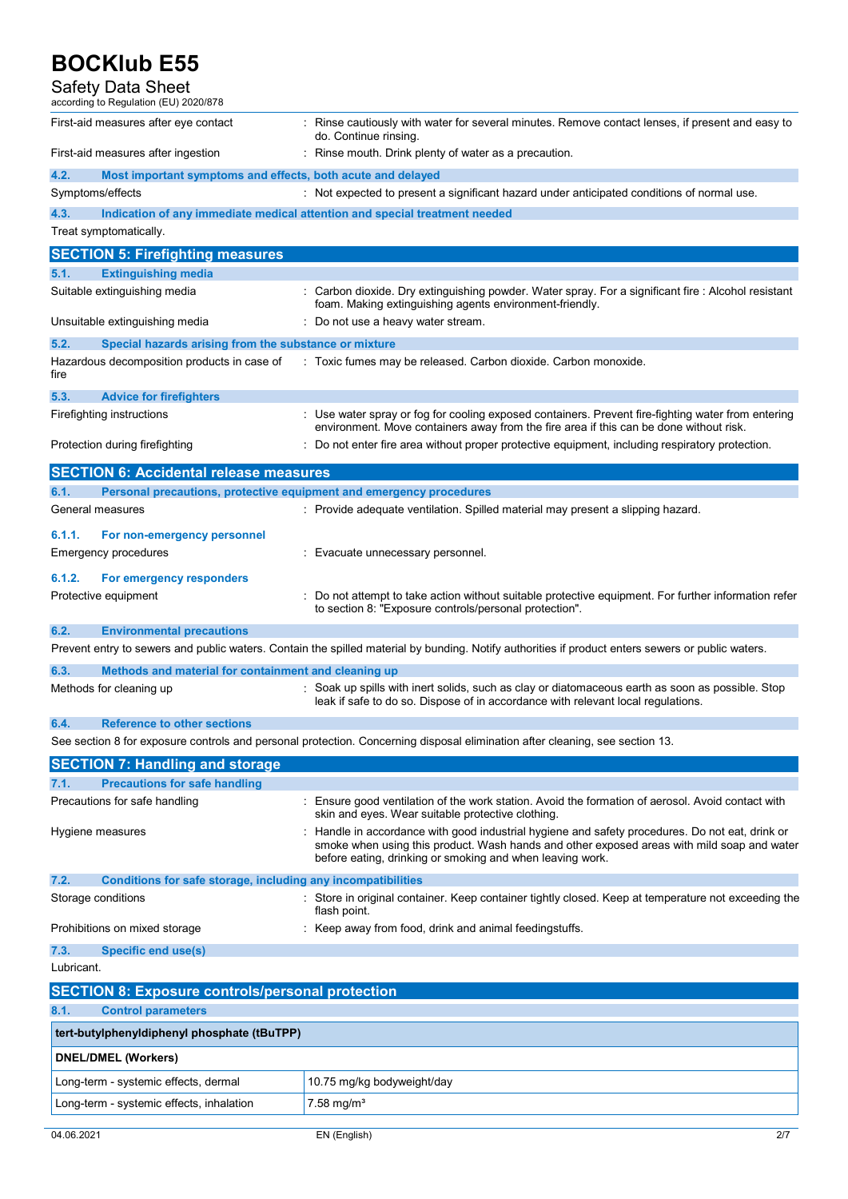### Safety Data Sheet according to Regulation (EU) 2020/878 First-aid measures after eye contact : Rinse cautiously with water for several minutes. Remove contact lenses, if present and easy to do. Continue rinsing. First-aid measures after ingestion : Rinse mouth. Drink plenty of water as a precaution. **4.2. Most important symptoms and effects, both acute and delayed**  Symptoms/effects sumpressed to present a significant hazard under anticipated conditions of normal use. **4.3. Indication of any immediate medical attention and special treatment needed**  Treat symptomatically. **SECTION 5: Firefighting measures 5.1. Extinguishing media**  Suitable extinguishing media : Carbon dioxide. Dry extinguishing powder. Water spray. For a significant fire : Alcohol resistant foam. Making extinguishing agents environment-friendly. Unsuitable extinguishing media : Do not use a heavy water stream. **5.2. Special hazards arising from the substance or mixture**  Hazardous decomposition products in case of fire : Toxic fumes may be released. Carbon dioxide. Carbon monoxide. **5.3. Advice for firefighters**  Firefighting instructions expansion in the water spray or fog for cooling exposed containers. Prevent fire-fighting water from entering environment. Move containers away from the fire area if this can be done without risk. Protection during firefighting **inter antical contents** : Do not enter fire area without proper protective equipment, including respiratory protection. **SECTION 6: Accidental release measures 6.1. Personal precautions, protective equipment and emergency procedures**  General measures **interpretatal material material material material may present a slipping hazard.** Provide adequate ventilation. Spilled material may present a slipping hazard. **6.1.1. For non-emergency personnel**  Emergency procedures **in the entity of the Contract Evacuate unnecessary personnel. 6.1.2. For emergency responders**  Protective equipment **interprotective equipment** information refer to section 8: "Exposure controls/personal protection". **6.2. Environmental precautions**  Prevent entry to sewers and public waters. Contain the spilled material by bunding. Notify authorities if product enters sewers or public waters. **6.3. Methods and material for containment and cleaning up**  Methods for cleaning up example of the soak up spills with inert solids, such as clay or diatomaceous earth as soon as possible. Stop leak if safe to do so. Dispose of in accordance with relevant local regulations. **6.4. Reference to other sections**  See section 8 for exposure controls and personal protection. Concerning disposal elimination after cleaning, see section 13. **SECTION 7: Handling and storage 7.1. Precautions for safe handling**  Precautions for safe handling example of the work station. Avoid the formation of aerosol. Avoid contact with skin and eyes. Wear suitable protective clothing. Hygiene measures **in the state of the state of the state of the state of the state of the state of the state of the state of the state of the state of the state of the state of the state of the state of the state of the st** smoke when using this product. Wash hands and other exposed areas with mild soap and water before eating, drinking or smoking and when leaving work. **7.2. Conditions for safe storage, including any incompatibilities**  Storage conditions **Store in original container.** Keep container tightly closed. Keep at temperature not exceeding the flash point. Prohibitions on mixed storage : Keep away from food, drink and animal feedingstuffs. **7.3. Specific end use(s)**  Lubricant. **SECTION 8: Exposure controls/personal protection 8.1. Control parameters tert-butylphenyldiphenyl phosphate (tBuTPP) DNEL/DMEL (Workers)**  Long-term - systemic effects, dermal 10.75 mg/kg bodyweight/day

Long-term - systemic effects, inhalation  $\sqrt{7.58 \text{ mg/m}^3}$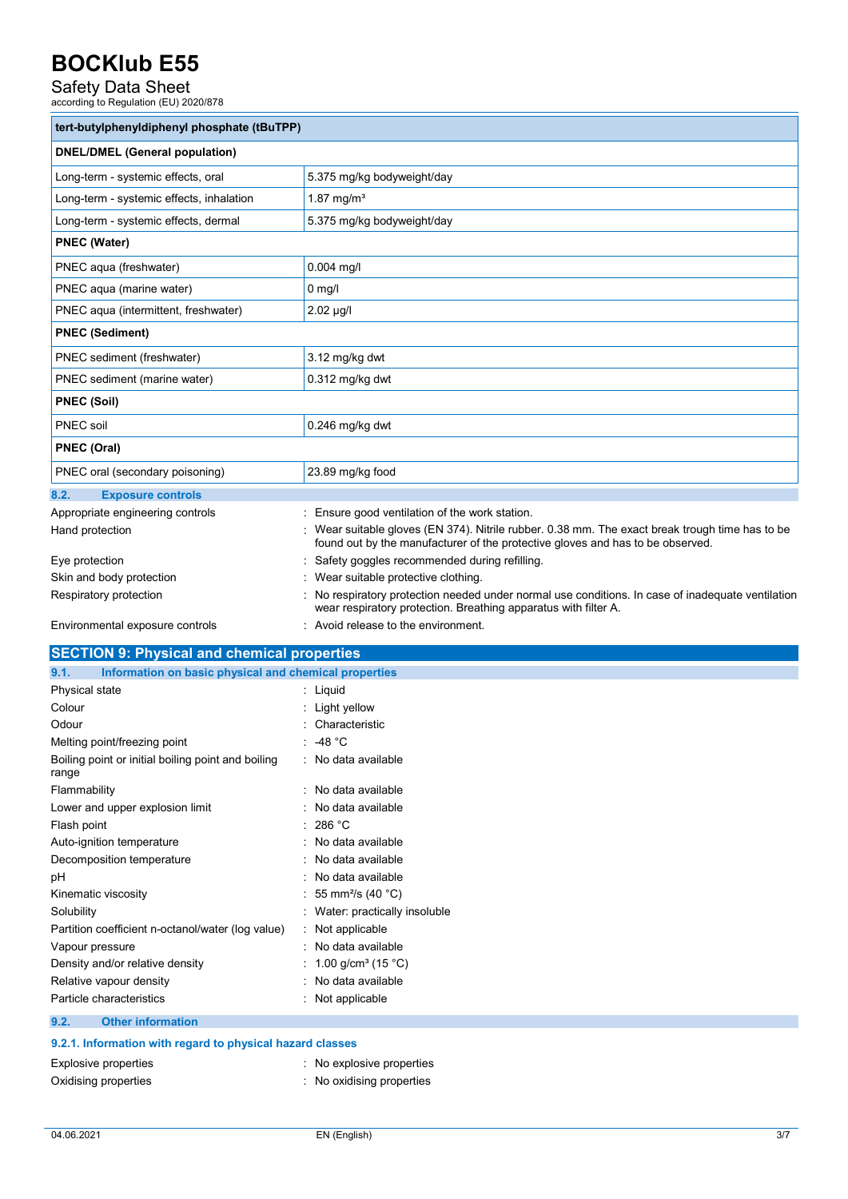# Safety Data Sheet<br>according to Regulation (EU) 2020/878

| tert-butylphenyldiphenyl phosphate (tBuTPP)                   |                                                                                                                                                                                   |  |  |
|---------------------------------------------------------------|-----------------------------------------------------------------------------------------------------------------------------------------------------------------------------------|--|--|
| <b>DNEL/DMEL (General population)</b>                         |                                                                                                                                                                                   |  |  |
| Long-term - systemic effects, oral                            | 5.375 mg/kg bodyweight/day                                                                                                                                                        |  |  |
| Long-term - systemic effects, inhalation                      | 1.87 mg/m <sup>3</sup>                                                                                                                                                            |  |  |
| Long-term - systemic effects, dermal                          | 5.375 mg/kg bodyweight/day                                                                                                                                                        |  |  |
| <b>PNEC (Water)</b>                                           |                                                                                                                                                                                   |  |  |
| PNEC aqua (freshwater)                                        | $0.004$ mg/l                                                                                                                                                                      |  |  |
| PNEC aqua (marine water)                                      | $0 \text{ mg/l}$                                                                                                                                                                  |  |  |
| PNEC aqua (intermittent, freshwater)                          | $2.02 \mu g/l$                                                                                                                                                                    |  |  |
| <b>PNEC (Sediment)</b>                                        |                                                                                                                                                                                   |  |  |
| PNEC sediment (freshwater)                                    | 3.12 mg/kg dwt                                                                                                                                                                    |  |  |
| PNEC sediment (marine water)                                  | $0.312$ mg/kg dwt                                                                                                                                                                 |  |  |
| <b>PNEC (Soil)</b>                                            |                                                                                                                                                                                   |  |  |
| <b>PNEC</b> soil                                              | 0.246 mg/kg dwt                                                                                                                                                                   |  |  |
| <b>PNEC (Oral)</b>                                            |                                                                                                                                                                                   |  |  |
| PNEC oral (secondary poisoning)                               | 23.89 mg/kg food                                                                                                                                                                  |  |  |
| 8.2.<br><b>Exposure controls</b>                              |                                                                                                                                                                                   |  |  |
| Appropriate engineering controls                              | Ensure good ventilation of the work station.                                                                                                                                      |  |  |
| Hand protection                                               | : Wear suitable gloves (EN 374). Nitrile rubber. 0.38 mm. The exact break trough time has to be<br>found out by the manufacturer of the protective gloves and has to be observed. |  |  |
| Eye protection                                                | Safety goggles recommended during refilling.                                                                                                                                      |  |  |
| Skin and body protection                                      | Wear suitable protective clothing.                                                                                                                                                |  |  |
| Respiratory protection                                        | No respiratory protection needed under normal use conditions. In case of inadequate ventilation<br>wear respiratory protection. Breathing apparatus with filter A.                |  |  |
| Environmental exposure controls                               | : Avoid release to the environment.                                                                                                                                               |  |  |
| <b>SECTION 9: Physical and chemical properties</b>            |                                                                                                                                                                                   |  |  |
| Information on basic physical and chemical properties<br>9.1. |                                                                                                                                                                                   |  |  |
| Physical state                                                | : Liquid                                                                                                                                                                          |  |  |
| Colour                                                        | Light yellow                                                                                                                                                                      |  |  |
| Odour                                                         | Characteristic                                                                                                                                                                    |  |  |
| Melting point/freezing point                                  | -48 $°C$                                                                                                                                                                          |  |  |
| Boiling point or initial boiling point and boiling<br>range   | No data available                                                                                                                                                                 |  |  |
| Flammability                                                  | No data available                                                                                                                                                                 |  |  |
|                                                               |                                                                                                                                                                                   |  |  |

Flash point : 286 °C Auto-ignition temperature **interest and the Contract Contract Auto-** : No data available Decomposition temperature **interest and the Composition temperature** intervalsed available pH : No data available

| Kinematic viscosity                               | : 55 mm <sup>2</sup> /s (40 °C)  |
|---------------------------------------------------|----------------------------------|
| Solubility                                        | : Water: practically insoluble   |
| Partition coefficient n-octanol/water (log value) | : Not applicable                 |
| Vapour pressure                                   | : No data available              |
| Density and/or relative density                   | : 1.00 g/cm <sup>3</sup> (15 °C) |
| Relative vapour density                           | No data available                |
| Particle characteristics                          | : Not applicable                 |
|                                                   |                                  |

**9.2. Other information** 

| 9.2.1. Information with regard to physical hazard classes |  |  |  |
|-----------------------------------------------------------|--|--|--|
|-----------------------------------------------------------|--|--|--|

| Explosive properties | : No explosive properties |
|----------------------|---------------------------|
| Oxidising properties | No oxidising properties   |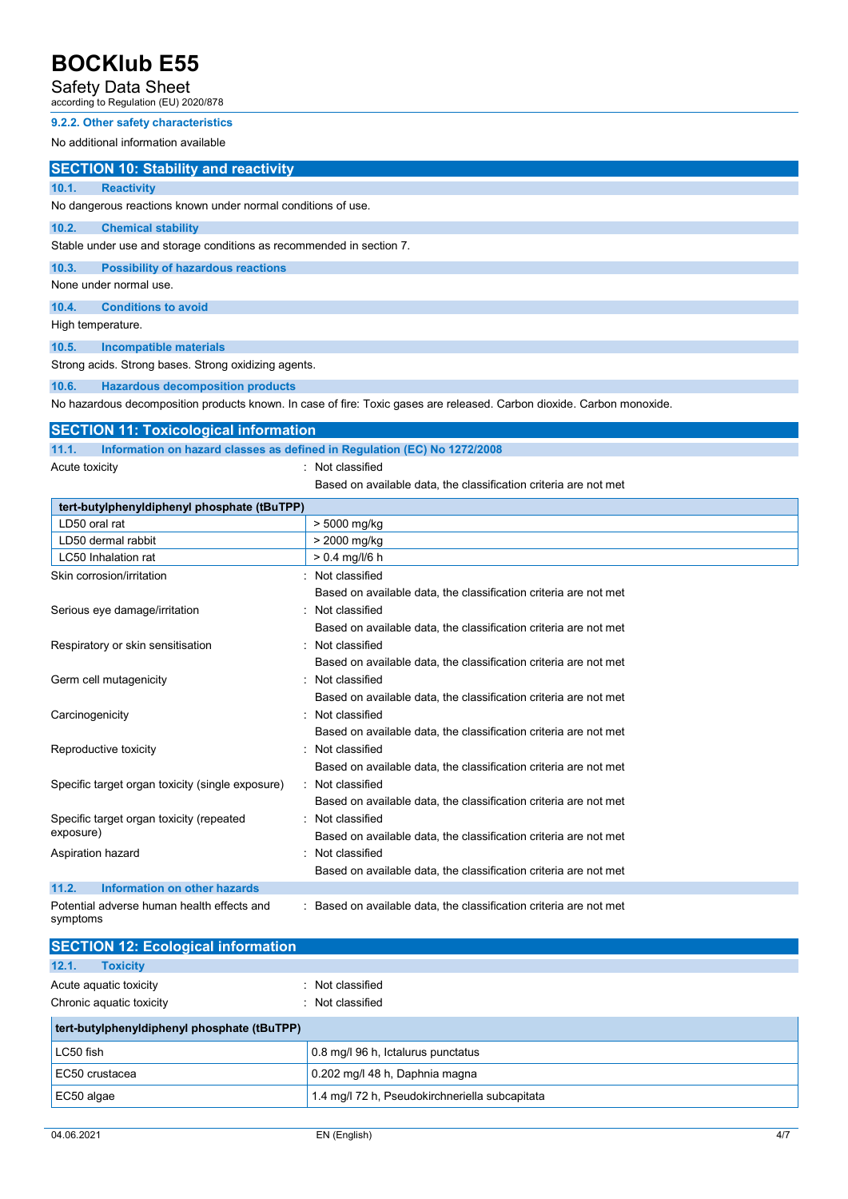### Safety Data Sheet

according to Regulation (EU) 2020/878

### **9.2.2. Other safety characteristics**

No additional information available

### **SECTION 10: Stability and reactivity**

**10.1. Reactivity**  No dangerous reactions known under normal conditions of use.

#### **10.2. Chemical stability**

Stable under use and storage conditions as recommended in section 7.

**10.3. Possibility of hazardous reactions** 

None under normal use.

**10.4. Conditions to avoid** 

High temperature.

**10.5. Incompatible materials** 

Strong acids. Strong bases. Strong oxidizing agents.

### **10.6. Hazardous decomposition products**

No hazardous decomposition products known. In case of fire: Toxic gases are released. Carbon dioxide. Carbon monoxide.

### **SECTION 11: Toxicological information**

**11.1. Information on hazard classes as defined in Regulation (EC) No 1272/2008** 

Acute toxicity in the contract of the contract of the contract of the contract of the contract of the contract of the contract of the contract of the contract of the contract of the contract of the contract of the contract

Based on available data, the classification criteria are not met

| tert-butylphenyldiphenyl phosphate (tBuTPP)            |                                                                    |  |  |  |
|--------------------------------------------------------|--------------------------------------------------------------------|--|--|--|
| LD50 oral rat                                          | > 5000 mg/kg                                                       |  |  |  |
| LD50 dermal rabbit                                     | > 2000 mg/kg                                                       |  |  |  |
| LC50 Inhalation rat                                    | $> 0.4$ mg/l/6 h                                                   |  |  |  |
| Skin corrosion/irritation                              | : Not classified                                                   |  |  |  |
|                                                        | Based on available data, the classification criteria are not met   |  |  |  |
| Serious eye damage/irritation                          | Not classified                                                     |  |  |  |
|                                                        | Based on available data, the classification criteria are not met   |  |  |  |
| Respiratory or skin sensitisation                      | : Not classified                                                   |  |  |  |
|                                                        | Based on available data, the classification criteria are not met   |  |  |  |
| Germ cell mutagenicity                                 | : Not classified                                                   |  |  |  |
|                                                        | Based on available data, the classification criteria are not met   |  |  |  |
| Carcinogenicity                                        | : Not classified                                                   |  |  |  |
|                                                        | Based on available data, the classification criteria are not met   |  |  |  |
| Reproductive toxicity                                  | Not classified                                                     |  |  |  |
|                                                        | Based on available data, the classification criteria are not met   |  |  |  |
| Specific target organ toxicity (single exposure)       | : Not classified                                                   |  |  |  |
|                                                        | Based on available data, the classification criteria are not met   |  |  |  |
| Specific target organ toxicity (repeated               | : Not classified                                                   |  |  |  |
| exposure)                                              | Based on available data, the classification criteria are not met   |  |  |  |
| Aspiration hazard                                      | Not classified                                                     |  |  |  |
|                                                        | Based on available data, the classification criteria are not met   |  |  |  |
| <b>Information on other hazards</b><br>11.2.           |                                                                    |  |  |  |
| Potential adverse human health effects and<br>symptoms | : Based on available data, the classification criteria are not met |  |  |  |

| <b>SECTION 12: Ecological information</b>          |                                                |  |
|----------------------------------------------------|------------------------------------------------|--|
| 12.1.<br><b>Toxicity</b>                           |                                                |  |
| Acute aquatic toxicity<br>Chronic aquatic toxicity | : Not classified<br>Not classified             |  |
| tert-butylphenyldiphenyl phosphate (tBuTPP)        |                                                |  |
| LC50 fish                                          | 0.8 mg/l 96 h, Ictalurus punctatus             |  |
| EC50 crustacea                                     | 0.202 mg/l 48 h, Daphnia magna                 |  |
| EC50 algae                                         | 1.4 mg/l 72 h, Pseudokirchneriella subcapitata |  |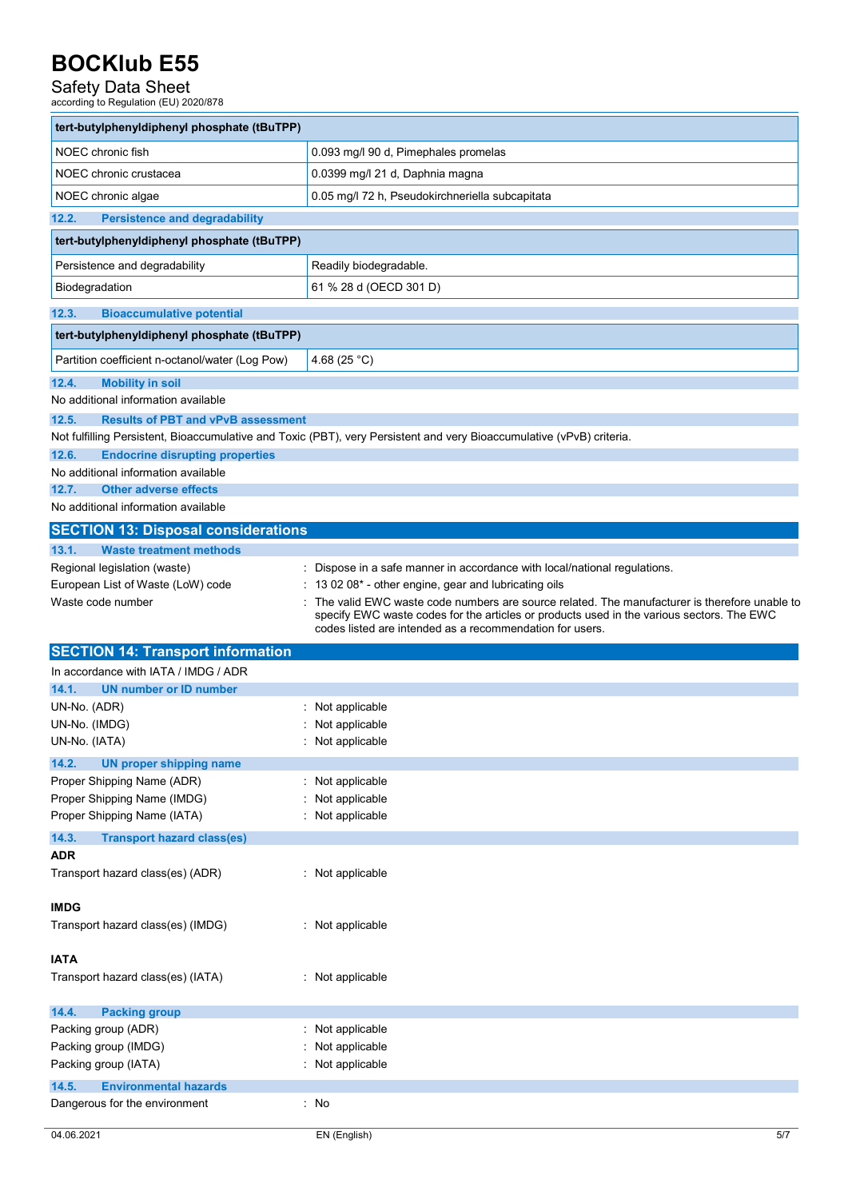# Safety Data Sheet<br>according to Regulation (EU) 2020/878

| tert-butylphenyldiphenyl phosphate (tBuTPP)                                            |                                                                                                                                                       |
|----------------------------------------------------------------------------------------|-------------------------------------------------------------------------------------------------------------------------------------------------------|
| NOEC chronic fish                                                                      | 0.093 mg/l 90 d, Pimephales promelas                                                                                                                  |
| NOEC chronic crustacea                                                                 | 0.0399 mg/l 21 d, Daphnia magna                                                                                                                       |
| NOEC chronic algae                                                                     | 0.05 mg/l 72 h, Pseudokirchneriella subcapitata                                                                                                       |
| 12.2.<br><b>Persistence and degradability</b>                                          |                                                                                                                                                       |
| tert-butylphenyldiphenyl phosphate (tBuTPP)                                            |                                                                                                                                                       |
| Persistence and degradability                                                          | Readily biodegradable.                                                                                                                                |
| Biodegradation                                                                         | 61 % 28 d (OECD 301 D)                                                                                                                                |
| 12.3.<br><b>Bioaccumulative potential</b>                                              |                                                                                                                                                       |
| tert-butylphenyldiphenyl phosphate (tBuTPP)                                            |                                                                                                                                                       |
|                                                                                        |                                                                                                                                                       |
| Partition coefficient n-octanol/water (Log Pow)                                        | 4.68 (25 °C)                                                                                                                                          |
| 12.4.<br><b>Mobility in soil</b>                                                       |                                                                                                                                                       |
| No additional information available                                                    |                                                                                                                                                       |
| 12.5.<br><b>Results of PBT and vPvB assessment</b>                                     |                                                                                                                                                       |
|                                                                                        | Not fulfilling Persistent, Bioaccumulative and Toxic (PBT), very Persistent and very Bioaccumulative (vPvB) criteria.                                 |
| 12.6.<br><b>Endocrine disrupting properties</b><br>No additional information available |                                                                                                                                                       |
| <b>Other adverse effects</b><br>12.7.                                                  |                                                                                                                                                       |
| No additional information available                                                    |                                                                                                                                                       |
|                                                                                        |                                                                                                                                                       |
| <b>SECTION 13: Disposal considerations</b>                                             |                                                                                                                                                       |
| 13.1.<br><b>Waste treatment methods</b>                                                |                                                                                                                                                       |
| Regional legislation (waste)<br>European List of Waste (LoW) code                      | Dispose in a safe manner in accordance with local/national regulations.<br>13 02 08* - other engine, gear and lubricating oils                        |
| Waste code number                                                                      | The valid EWC waste code numbers are source related. The manufacturer is therefore unable to                                                          |
|                                                                                        | specify EWC waste codes for the articles or products used in the various sectors. The EWC<br>codes listed are intended as a recommendation for users. |
| <b>SECTION 14: Transport information</b>                                               |                                                                                                                                                       |
| In accordance with IATA / IMDG / ADR                                                   |                                                                                                                                                       |
| <b>UN number or ID number</b><br>14.1.                                                 |                                                                                                                                                       |
| UN-No. (ADR)                                                                           | : Not applicable                                                                                                                                      |
| UN-No. (IMDG)                                                                          | Not applicable                                                                                                                                        |
| UN-No. (IATA)                                                                          | Not applicable                                                                                                                                        |
| 14.2.<br><b>UN proper shipping name</b>                                                |                                                                                                                                                       |
| Proper Shipping Name (ADR)                                                             | Not applicable                                                                                                                                        |
| Proper Shipping Name (IMDG)                                                            | Not applicable                                                                                                                                        |
| Proper Shipping Name (IATA)                                                            | Not applicable                                                                                                                                        |
| 14.3.<br><b>Transport hazard class(es)</b>                                             |                                                                                                                                                       |
| <b>ADR</b>                                                                             |                                                                                                                                                       |
| Transport hazard class(es) (ADR)                                                       | : Not applicable                                                                                                                                      |
| <b>IMDG</b>                                                                            |                                                                                                                                                       |
| Transport hazard class(es) (IMDG)                                                      | : Not applicable                                                                                                                                      |
|                                                                                        |                                                                                                                                                       |
| <b>IATA</b>                                                                            |                                                                                                                                                       |
| Transport hazard class(es) (IATA)                                                      | : Not applicable                                                                                                                                      |
| 14.4.<br><b>Packing group</b>                                                          |                                                                                                                                                       |
| Packing group (ADR)                                                                    | Not applicable                                                                                                                                        |
| Packing group (IMDG)                                                                   | Not applicable                                                                                                                                        |
| Packing group (IATA)                                                                   | Not applicable                                                                                                                                        |
| 14.5.<br><b>Environmental hazards</b>                                                  |                                                                                                                                                       |
| Dangerous for the environment                                                          | : No                                                                                                                                                  |
|                                                                                        |                                                                                                                                                       |
| 04.06.2021                                                                             | 5/7<br>EN (English)                                                                                                                                   |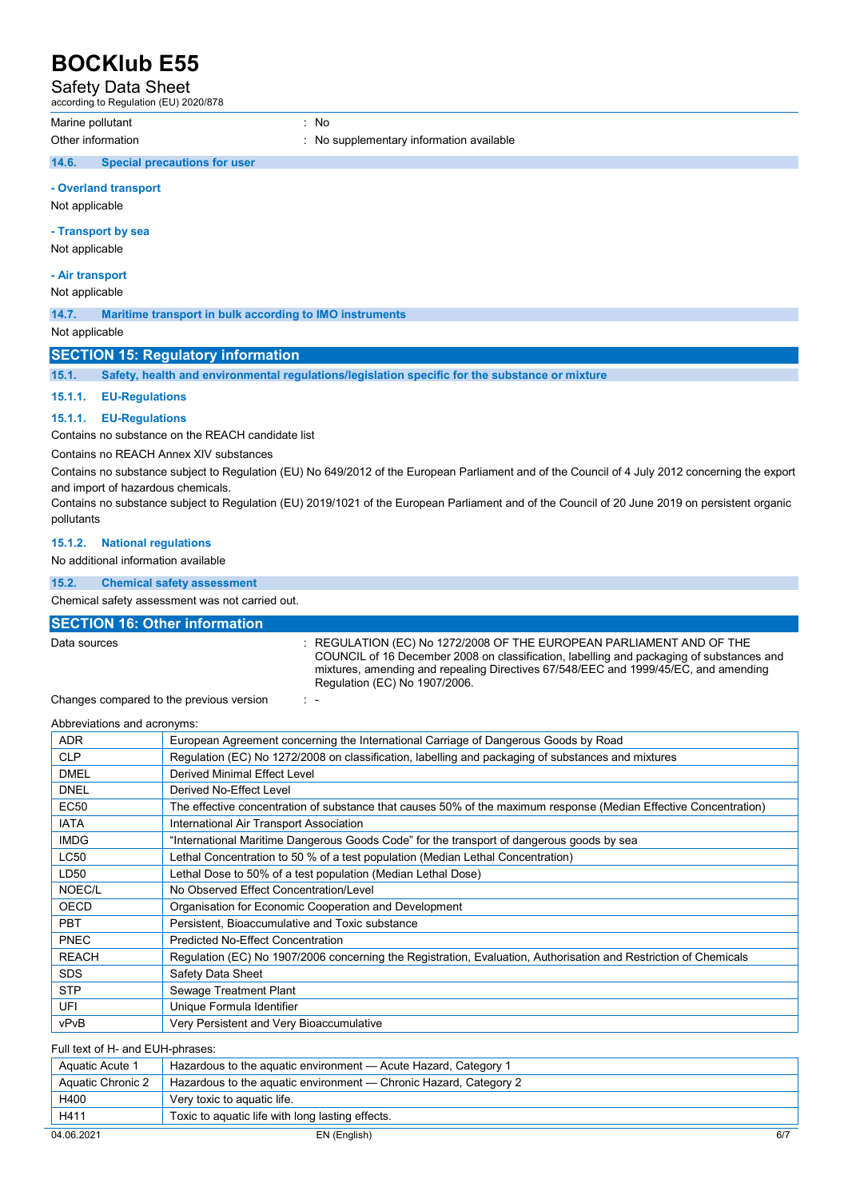Safety Data Sheet

according to Regulation (EU) 2020/878

Marine pollutant in the set of the set of the set of the set of the set of the set of the set of the set of the set of the set of the set of the set of the set of the set of the set of the set of the set of the set of the

Other information **interest in the contract of the Contract of Contract information available** contract of the contract of the contract of the contract of the contract of the contract of the contract of the contract of the

### **14.6. Special precautions for user**

**- Overland transport** 

Not applicable

### **- Transport by sea**

Not applicable

### **- Air transport**

Not applicable

**14.7. Maritime transport in bulk according to IMO instruments** 

Not applicable

### **SECTION 15: Regulatory information**

**15.1. Safety, health and environmental regulations/legislation specific for the substance or mixture** 

### **15.1.1. EU-Regulations**

### **15.1.1. EU-Regulations**

Contains no substance on the REACH candidate list

Contains no REACH Annex XIV substances

Contains no substance subject to Regulation (EU) No 649/2012 of the European Parliament and of the Council of 4 July 2012 concerning the export and import of hazardous chemicals.

Contains no substance subject to Regulation (EU) 2019/1021 of the European Parliament and of the Council of 20 June 2019 on persistent organic pollutants

### **15.1.2. National regulations**

No additional information available

### **15.2. Chemical safety assessment**

Chemical safety assessment was not carried out.

### **SECTION 16: Other information**

Data sources **1.2.2.2008 OF THE EUROPEAN PARLIAMENT AND OF THE** COUNCIL of 16 December 2008 on classification, labelling and packaging of substances and mixtures, amending and repealing Directives 67/548/EEC and 1999/45/EC, and amending Regulation (EC) No 1907/2006.

Changes compared to the previous version : -

Abbreviations and acronyms: ADR European Agreement concerning the International Carriage of Dangerous Goods by Road CLP Regulation (EC) No 1272/2008 on classification, labelling and packaging of substances and mixtures DMEL **Derived Minimal Effect Level** DNEL Derived No-Effect Level EC50 The effective concentration of substance that causes 50% of the maximum response (Median Effective Concentration) IATA **International Air Transport Association** IMDG **The The International Maritime Dangerous Goods Code**" for the transport of dangerous goods by sea LC50 Lethal Concentration to 50 % of a test population (Median Lethal Concentration) LD50 Lethal Dose to 50% of a test population (Median Lethal Dose) NOEC/L No Observed Effect Concentration/Level OECD **Organisation for Economic Cooperation and Development PBT** Persistent, Bioaccumulative and Toxic substance PNEC Predicted No-Effect Concentration REACH Regulation (EC) No 1907/2006 concerning the Registration, Evaluation, Authorisation and Restriction of Chemicals SDS Safety Data Sheet STP | Sewage Treatment Plant UFI Unique Formula Identifier vPvB Very Persistent and Very Bioaccumulative

#### Full text of H- and EUH-phrases:

| Aquatic Acute 1   | Hazardous to the aguatic environment - Acute Hazard, Category 1   |     |
|-------------------|-------------------------------------------------------------------|-----|
| Aquatic Chronic 2 | Hazardous to the aquatic environment — Chronic Hazard, Category 2 |     |
| H400              | Very toxic to aquatic life.                                       |     |
| H411              | Toxic to aquatic life with long lasting effects.                  |     |
| 04.06.2021        | EN (English)                                                      | 6/7 |